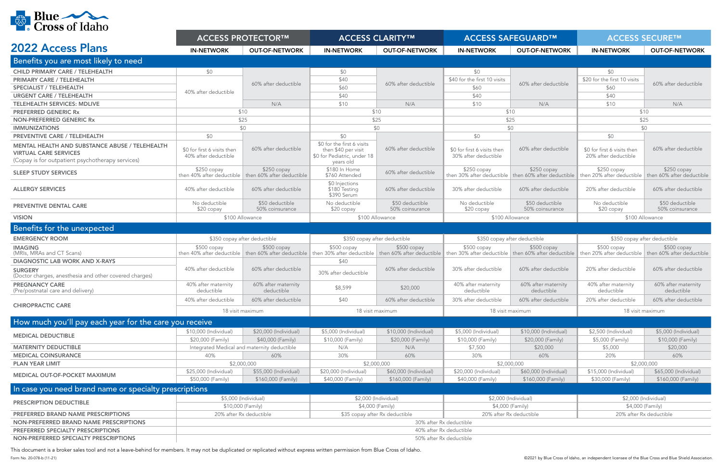

| <b>VI LUMIN</b>                                                                                                                    | <b>ACCESS PROTECTOR™</b>                            |                                                                       | <b>ACCESS CLARITY™</b>                                          |                                             | <b>ACCESS SAFEGUARD™</b>                            |                                                                     | <b>ACCESS SECURE™</b>                                               |                                             |
|------------------------------------------------------------------------------------------------------------------------------------|-----------------------------------------------------|-----------------------------------------------------------------------|-----------------------------------------------------------------|---------------------------------------------|-----------------------------------------------------|---------------------------------------------------------------------|---------------------------------------------------------------------|---------------------------------------------|
| <b>2022 Access Plans</b>                                                                                                           | <b>IN-NETWORK</b>                                   | <b>OUT-OF-NETWORK</b>                                                 | <b>IN-NETWORK</b>                                               | <b>OUT-OF-NETWORK</b>                       | <b>IN-NETWORK</b>                                   | <b>OUT-OF-NETWORK</b>                                               | <b>IN-NETWORK</b>                                                   | <b>OUT-OF-NETWORK</b>                       |
| Benefits you are most likely to need                                                                                               |                                                     |                                                                       |                                                                 |                                             |                                                     |                                                                     |                                                                     |                                             |
| <b>CHILD PRIMARY CARE / TELEHEALTH</b>                                                                                             | \$0                                                 |                                                                       | \$0                                                             |                                             | \$0                                                 |                                                                     | \$0                                                                 |                                             |
| <b>PRIMARY CARE / TELEHEALTH</b>                                                                                                   |                                                     |                                                                       | \$40                                                            |                                             | \$40 for the first 10 visits                        |                                                                     | \$20 for the first 10 visits                                        |                                             |
| <b>SPECIALIST / TELEHEALTH</b>                                                                                                     |                                                     | 60% after deductible                                                  | \$60                                                            | 60% after deductible                        | \$60                                                | 60% after deductible                                                | \$60                                                                | 60% after deductible                        |
| <b>URGENT CARE / TELEHEALTH</b>                                                                                                    | 40% after deductible                                |                                                                       | \$40                                                            |                                             | \$40                                                |                                                                     | \$40                                                                |                                             |
| <b>TELEHEALTH SERVICES: MDLIVE</b>                                                                                                 |                                                     | N/A                                                                   | \$10                                                            | N/A                                         | \$10                                                | N/A                                                                 | \$10                                                                | N/A                                         |
| <b>PREFERRED GENERIC Rx</b>                                                                                                        |                                                     | \$10                                                                  |                                                                 | \$10                                        |                                                     | \$10                                                                |                                                                     | \$10                                        |
| <b>NON-PREFERRED GENERIC Rx</b>                                                                                                    | \$25                                                |                                                                       | \$25                                                            |                                             | \$25                                                |                                                                     | \$25                                                                |                                             |
| <b>IMMUNIZATIONS</b>                                                                                                               | \$0                                                 |                                                                       | \$0                                                             |                                             | \$0                                                 |                                                                     | \$0                                                                 |                                             |
| <b>PREVENTIVE CARE / TELEHEALTH</b>                                                                                                | \$0                                                 |                                                                       | \$0                                                             |                                             | \$0                                                 |                                                                     | \$0                                                                 |                                             |
|                                                                                                                                    |                                                     |                                                                       | \$0 for the first 6 visits                                      |                                             |                                                     |                                                                     |                                                                     |                                             |
| MENTAL HEALTH AND SUBSTANCE ABUSE / TELEHEALTH<br><b>VIRTUAL CARE SERVICES</b><br>(Copay is for outpatient psychotherapy services) | \$0 for first 6 visits then<br>40% after deductible | 60% after deductible                                                  | then \$40 per visit<br>\$0 for Pediatric, under 18<br>years old | 60% after deductible                        | \$0 for first 6 visits then<br>30% after deductible | 60% after deductible                                                | \$0 for first 6 visits then<br>20% after deductible                 | 60% after deductible                        |
| <b>SLEEP STUDY SERVICES</b>                                                                                                        | $$250$ copay<br>then 40% after deductible           | $$250$ copay<br>then 60% after deductible                             | \$180 In Home<br>\$760 Attended                                 | 60% after deductible                        | $$250$ copay<br>then 30% after deductible           | $$250$ copay<br>then 60% after deductible                           | \$250 copay<br>then 20% after deductible                            | \$250 copay<br>then 60% after deductible    |
| <b>ALLERGY SERVICES</b>                                                                                                            | 40% after deductible                                | 60% after deductible                                                  | \$0 Injections<br>\$180 Testing<br>\$390 Serum                  | 60% after deductible                        | 30% after deductible                                | 60% after deductible                                                | 20% after deductible                                                | 60% after deductible                        |
| <b>PREVENTIVE DENTAL CARE</b>                                                                                                      | No deductible<br>$$20$ copay                        | \$50 deductible<br>50% coinsurance                                    | No deductible<br>\$20 copay                                     | \$50 deductible<br>50% coinsurance          | No deductible<br>\$20 copay                         | \$50 deductible<br>50% coinsurance                                  | No deductible<br>\$20 copay                                         | \$50 deductible<br>50% coinsurance          |
| <b>VISION</b>                                                                                                                      | \$100 Allowance                                     |                                                                       | \$100 Allowance                                                 |                                             | \$100 Allowance                                     |                                                                     | \$100 Allowance                                                     |                                             |
| Benefits for the unexpected                                                                                                        |                                                     |                                                                       |                                                                 |                                             |                                                     |                                                                     |                                                                     |                                             |
| <b>EMERGENCY ROOM</b>                                                                                                              | \$350 copay after deductible                        |                                                                       | \$350 copay after deductible                                    |                                             | \$350 copay after deductible                        |                                                                     | \$350 copay after deductible                                        |                                             |
| <b>IMAGING</b><br>(MRIs, MRAs and CT Scans)                                                                                        | $$500$ copay                                        | $$500$ copay<br>then 40% after deductible   then 60% after deductible | $$500$ copay<br>then 30% after deductible                       | $$500$ copay<br>then 60% after deductible   | $$500$ copay                                        | $$500$ copay<br>then 30% after deductible then 60% after deductible | $$500$ copay<br>then 20% after deductible then 60% after deductible | $$500$ copay                                |
| <b>DIAGNOSTIC LAB WORK AND X-RAYS</b>                                                                                              |                                                     |                                                                       | \$40                                                            |                                             |                                                     |                                                                     |                                                                     |                                             |
| <b>SURGERY</b><br>(Doctor charges, anesthesia and other covered charges)                                                           | 40% after deductible                                | 60% after deductible                                                  | 30% after deductible                                            | 60% after deductible                        | 30% after deductible                                | 60% after deductible                                                | 20% after deductible                                                | 60% after deductible                        |
| <b>PREGNANCY CARE</b><br>(Pre/postnatal care and delivery)                                                                         | 40% after maternity<br>deductible                   | 60% after maternity<br>deductible                                     | \$8,599                                                         | \$20,000                                    | 40% after maternity<br>deductible                   | 60% after maternity<br>deductible                                   | 40% after maternity<br>deductible                                   | 60% after maternity<br>deductible           |
| <b>CHIROPRACTIC CARE</b>                                                                                                           | 40% after deductible                                | 60% after deductible                                                  | \$40                                                            | 60% after deductible                        | 30% after deductible                                | 60% after deductible                                                | 20% after deductible                                                | 60% after deductible                        |
|                                                                                                                                    | 18 visit maximum                                    |                                                                       | 18 visit maximum                                                |                                             | 18 visit maximum                                    |                                                                     | 18 visit maximum                                                    |                                             |
| How much you'll pay each year for the care you receive                                                                             |                                                     |                                                                       |                                                                 |                                             |                                                     |                                                                     |                                                                     |                                             |
| <b>MEDICAL DEDUCTIBLE</b>                                                                                                          | \$10,000 (Individual)                               | \$20,000 (Individual)                                                 | \$5,000 (Individual)                                            | \$10,000 (Individual)                       | \$5,000 (Individual)                                | \$10,000 (Individual)                                               | \$2,500 (Individual)                                                | \$5,000 (Individual)                        |
|                                                                                                                                    | \$20,000 (Family)                                   | \$40,000 (Family)                                                     | \$10,000 (Family)                                               | \$20,000 (Family)                           | \$10,000 (Family)                                   | \$20,000 (Family)                                                   | \$5,000 (Family)                                                    | \$10,000 (Family)                           |
| <b>MATERNITY DEDUCTIBLE</b>                                                                                                        |                                                     | Integrated Medical and maternity deductible                           | N/A                                                             | N/A                                         | \$7,500                                             | \$20,000                                                            | \$5,000                                                             | \$20,000                                    |
| <b>MEDICAL COINSURANCE</b>                                                                                                         | 40%                                                 | 60%                                                                   | 30%                                                             | 60%                                         | 30%                                                 | 60%                                                                 | 20%                                                                 | 60%                                         |
| <b>PLAN YEAR LIMIT</b>                                                                                                             |                                                     | \$2,000,000                                                           |                                                                 | \$2,000,000                                 |                                                     | \$2,000,000                                                         |                                                                     | \$2,000,000                                 |
| MEDICAL OUT-OF-POCKET MAXIMUM                                                                                                      | \$25,000 (Individual)<br>\$50,000 (Family)          | \$55,000 (Individual)<br>\$160,000 (Family)                           | \$20,000 (Individual)<br>\$40,000 (Family)                      | \$60,000 (Individual)<br>\$160,000 (Family) | \$20,000 (Individual)<br>\$40,000 (Family)          | \$60,000 (Individual)<br>\$160,000 (Family)                         | \$15,000 (Individual)<br>\$30,000 (Family)                          | \$65,000 (Individual)<br>\$160,000 (Family) |
| In case you need brand name or specialty prescriptions                                                                             |                                                     |                                                                       |                                                                 |                                             |                                                     |                                                                     |                                                                     |                                             |
| PRESCRIPTION DEDUCTIBLE                                                                                                            | \$5,000 (Individual)<br>\$10,000 (Family)           |                                                                       | \$2,000 (Individual)<br>\$4,000 (Family)                        |                                             | \$2,000 (Individual)<br>\$4,000 (Family)            |                                                                     | \$2,000 (Individual)<br>\$4,000 (Family)                            |                                             |
| PREFERRED BRAND NAME PRESCRIPTIONS                                                                                                 | 20% after Rx deductible                             |                                                                       | \$35 copay after Rx deductible                                  |                                             | 20% after Rx deductible                             |                                                                     | 20% after Rx deductible                                             |                                             |
| NON-PREFERRED BRAND NAME PRESCRIPTIONS                                                                                             | 30% after Rx deductible                             |                                                                       |                                                                 |                                             |                                                     |                                                                     |                                                                     |                                             |
| PREFERRED SPECIALTY PRESCRIPTIONS                                                                                                  | 40% after Rx deductible                             |                                                                       |                                                                 |                                             |                                                     |                                                                     |                                                                     |                                             |
| NON-PREFERRED SPECIALTY PRESCRIPTIONS                                                                                              | 50% after Rx deductible                             |                                                                       |                                                                 |                                             |                                                     |                                                                     |                                                                     |                                             |
|                                                                                                                                    |                                                     |                                                                       |                                                                 |                                             |                                                     |                                                                     |                                                                     |                                             |

Form No. 20-078-b (11-21) ©2021 by Blue Cross of Idaho, an independent licensee of the Blue Cross and Blue Shield Association. This document is a broker sales tool and not a leave-behind for members. It may not be duplicated or replicated without express written permission from Blue Cross of Idaho.